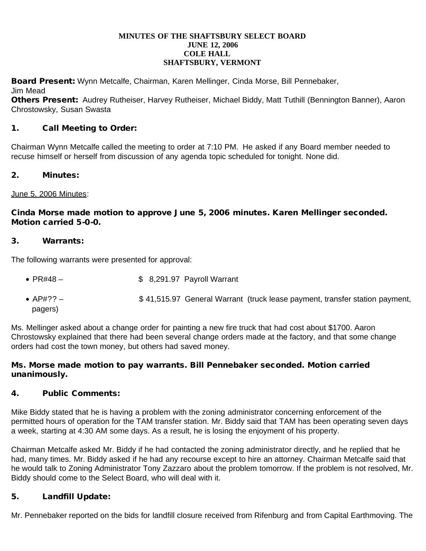#### **MINUTES OF THE SHAFTSBURY SELECT BOARD JUNE 12, 2006 COLE HALL SHAFTSBURY, VERMONT**

Board Present: Wynn Metcalfe, Chairman, Karen Mellinger, Cinda Morse, Bill Pennebaker, Jim Mead

Others Present: Audrey Rutheiser, Harvey Rutheiser, Michael Biddy, Matt Tuthill (Bennington Banner), Aaron Chrostowsky, Susan Swasta

# 1. Call Meeting to Order:

Chairman Wynn Metcalfe called the meeting to order at 7:10 PM. He asked if any Board member needed to recuse himself or herself from discussion of any agenda topic scheduled for tonight. None did.

## 2. Minutes:

### June 5, 2006 Minutes:

## Cinda Morse made motion to approve June 5, 2006 minutes. Karen Mellinger seconded. Motion carried 5-0-0.

#### 3. Warrants:

The following warrants were presented for approval:

- $PR#48 -$  \$ 8,291.97 Payroll Warrant
- AP#?? <br>\$ 41,515.97 General Warrant (truck lease payment, transfer station payment, pagers)

Ms. Mellinger asked about a change order for painting a new fire truck that had cost about \$1700. Aaron Chrostowsky explained that there had been several change orders made at the factory, and that some change orders had cost the town money, but others had saved money.

### Ms. Morse made motion to pay warrants. Bill Pennebaker seconded. Motion carried unanimously.

## 4. Public Comments:

Mike Biddy stated that he is having a problem with the zoning administrator concerning enforcement of the permitted hours of operation for the TAM transfer station. Mr. Biddy said that TAM has been operating seven days a week, starting at 4:30 AM some days. As a result, he is losing the enjoyment of his property.

Chairman Metcalfe asked Mr. Biddy if he had contacted the zoning administrator directly, and he replied that he had, many times. Mr. Biddy asked if he had any recourse except to hire an attorney. Chairman Metcalfe said that he would talk to Zoning Administrator Tony Zazzaro about the problem tomorrow. If the problem is not resolved, Mr. Biddy should come to the Select Board, who will deal with it.

## 5. Landfill Update:

Mr. Pennebaker reported on the bids for landfill closure received from Rifenburg and from Capital Earthmoving. The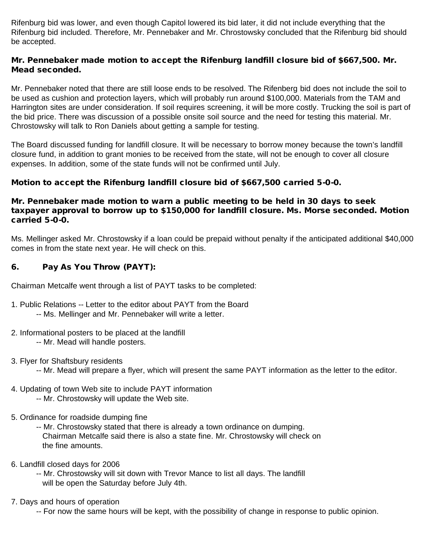Rifenburg bid was lower, and even though Capitol lowered its bid later, it did not include everything that the Rifenburg bid included. Therefore, Mr. Pennebaker and Mr. Chrostowsky concluded that the Rifenburg bid should be accepted.

### Mr. Pennebaker made motion to accept the Rifenburg landfill closure bid of \$667,500. Mr. Mead seconded.

Mr. Pennebaker noted that there are still loose ends to be resolved. The Rifenberg bid does not include the soil to be used as cushion and protection layers, which will probably run around \$100,000. Materials from the TAM and Harrington sites are under consideration. If soil requires screening, it will be more costly. Trucking the soil is part of the bid price. There was discussion of a possible onsite soil source and the need for testing this material. Mr. Chrostowsky will talk to Ron Daniels about getting a sample for testing.

The Board discussed funding for landfill closure. It will be necessary to borrow money because the town's landfill closure fund, in addition to grant monies to be received from the state, will not be enough to cover all closure expenses. In addition, some of the state funds will not be confirmed until July.

## Motion to accept the Rifenburg landfill closure bid of \$667,500 carried 5-0-0.

### Mr. Pennebaker made motion to warn a public meeting to be held in 30 days to seek taxpayer approval to borrow up to \$150,000 for landfill closure. Ms. Morse seconded. Motion carried 5-0-0.

Ms. Mellinger asked Mr. Chrostowsky if a loan could be prepaid without penalty if the anticipated additional \$40,000 comes in from the state next year. He will check on this.

## 6. Pay As You Throw (PAYT):

Chairman Metcalfe went through a list of PAYT tasks to be completed:

- 1. Public Relations -- Letter to the editor about PAYT from the Board
	- -- Ms. Mellinger and Mr. Pennebaker will write a letter.
- 2. Informational posters to be placed at the landfill
	- -- Mr. Mead will handle posters.
- 3. Flyer for Shaftsbury residents
	- -- Mr. Mead will prepare a flyer, which will present the same PAYT information as the letter to the editor.
- 4. Updating of town Web site to include PAYT information -- Mr. Chrostowsky will update the Web site.
- 5. Ordinance for roadside dumping fine
	- -- Mr. Chrostowsky stated that there is already a town ordinance on dumping. Chairman Metcalfe said there is also a state fine. Mr. Chrostowsky will check on the fine amounts.
- 6. Landfill closed days for 2006
	- -- Mr. Chrostowsky will sit down with Trevor Mance to list all days. The landfill will be open the Saturday before July 4th.

## 7. Days and hours of operation

-- For now the same hours will be kept, with the possibility of change in response to public opinion.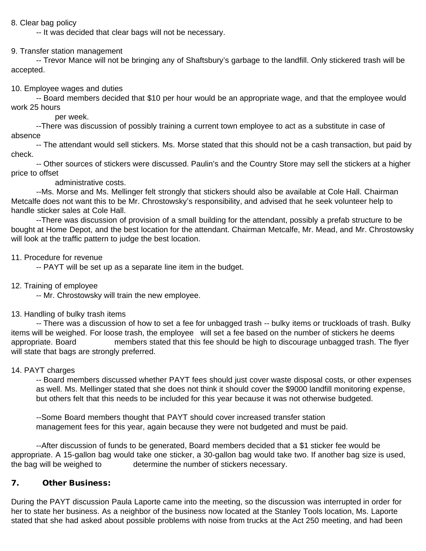### 8. Clear bag policy

-- It was decided that clear bags will not be necessary.

### 9. Transfer station management

 -- Trevor Mance will not be bringing any of Shaftsbury's garbage to the landfill. Only stickered trash will be accepted.

#### 10. Employee wages and duties

 -- Board members decided that \$10 per hour would be an appropriate wage, and that the employee would work 25 hours

#### per week.

--There was discussion of possibly training a current town employee to act as a substitute in case of absence

-- The attendant would sell stickers. Ms. Morse stated that this should not be a cash transaction, but paid by check.

 -- Other sources of stickers were discussed. Paulin's and the Country Store may sell the stickers at a higher price to offset

administrative costs.

 --Ms. Morse and Ms. Mellinger felt strongly that stickers should also be available at Cole Hall. Chairman Metcalfe does not want this to be Mr. Chrostowsky's responsibility, and advised that he seek volunteer help to handle sticker sales at Cole Hall.

 --There was discussion of provision of a small building for the attendant, possibly a prefab structure to be bought at Home Depot, and the best location for the attendant. Chairman Metcalfe, Mr. Mead, and Mr. Chrostowsky will look at the traffic pattern to judge the best location.

11. Procedure for revenue

-- PAYT will be set up as a separate line item in the budget.

12. Training of employee

-- Mr. Chrostowsky will train the new employee.

#### 13. Handling of bulky trash items

 -- There was a discussion of how to set a fee for unbagged trash -- bulky items or truckloads of trash. Bulky items will be weighed. For loose trash, the employee will set a fee based on the number of stickers he deems appropriate. Board members stated that this fee should be high to discourage unbagged trash. The flyer will state that bags are strongly preferred.

#### 14. PAYT charges

-- Board members discussed whether PAYT fees should just cover waste disposal costs, or other expenses as well. Ms. Mellinger stated that she does not think it should cover the \$9000 landfill monitoring expense, but others felt that this needs to be included for this year because it was not otherwise budgeted.

 --Some Board members thought that PAYT should cover increased transfer station management fees for this year, again because they were not budgeted and must be paid.

 --After discussion of funds to be generated, Board members decided that a \$1 sticker fee would be appropriate. A 15-gallon bag would take one sticker, a 30-gallon bag would take two. If another bag size is used, the bag will be weighed to determine the number of stickers necessary.

# 7. Other Business:

During the PAYT discussion Paula Laporte came into the meeting, so the discussion was interrupted in order for her to state her business. As a neighbor of the business now located at the Stanley Tools location, Ms. Laporte stated that she had asked about possible problems with noise from trucks at the Act 250 meeting, and had been